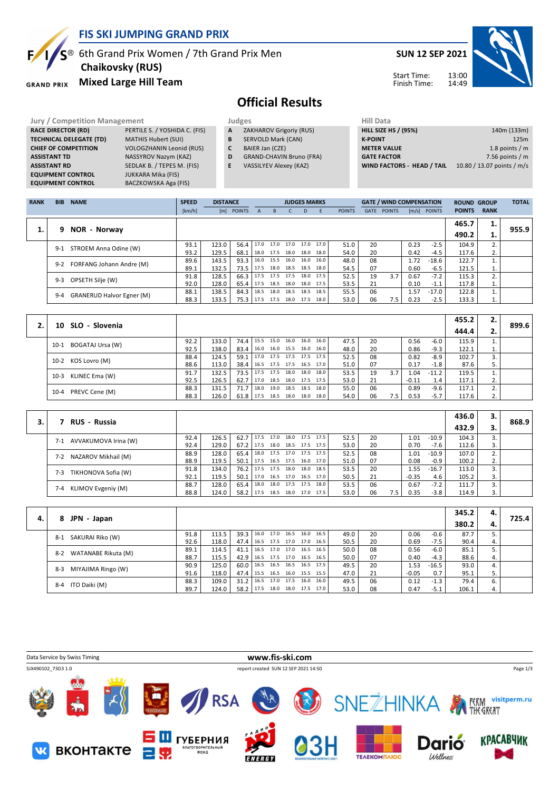

### **FIS SKI JUMPING GRAND PRIX**

# $S^{\circledast}$  6th Grand Prix Women / 7th Grand Prix Men

**GRAND PRIX** 

### **Chaikovsky (RUS)**

**Mixed Large Hill Team**

### **SUN 12 SEP 2021**

Start Time: Finish Time:



# **Official Results**

| <b>Jury / Competition Management</b> |                                 |   | Judges                          | <b>Hill Data</b>   |
|--------------------------------------|---------------------------------|---|---------------------------------|--------------------|
| <b>RACE DIRECTOR (RD)</b>            | PERTILE S. / YOSHIDA C. (FIS)   | A | ZAKHAROV Grigoriy (RUS)         | <b>HILL SIZE I</b> |
| <b>TECHNICAL DELEGATE (TD)</b>       | <b>MATHIS Hubert (SUI)</b>      | B | <b>SERVOLD Mark (CAN)</b>       | <b>K-POINT</b>     |
| <b>CHIEF OF COMPETITION</b>          | <b>VOLOGZHANIN Leonid (RUS)</b> |   | BAIER Jan (CZE)                 | <b>METER VA</b>    |
| <b>ASSISTANT TD</b>                  | NASSYROV Nazym (KAZ)            | D | <b>GRAND-CHAVIN Bruno (FRA)</b> | <b>GATE FACT</b>   |
| <b>ASSISTANT RD</b>                  | SEDLAK B. / TEPES M. (FIS)      | E | <b>VASSILYEV Alexey (KAZ)</b>   | <b>WIND FAC</b>    |
| <b>EQUIPMENT CONTROL</b>             | <b>JUKKARA Mika (FIS)</b>       |   |                                 |                    |
| <b>EQUIPMENT CONTROL</b>             | BACZKOWSKA Aga (FIS)            |   |                                 |                    |

#### **A** ZAKHAROV Grigoriy (RUS)

- **B** SERVOLD Mark (CAN)
- **C** BAIER Jan (CZE)
- **D** GRAND-CHAVIN Bruno (FRA)
- **E** VASSILYEV Alexey (KAZ)

| 140m (133m)                |
|----------------------------|
| 125m                       |
| 1.8 points $/m$            |
| 7.56 points $/m$           |
| 10.80 / 13.07 points / m/s |
|                            |

| <b>RANK</b> | <b>BIB</b> | <b>NAME</b>                      | <b>SPEED</b> | <b>DISTANCE</b> |            |              |           | <b>JUDGES MARKS</b> |           |      |               |      | <b>GATE / WIND COMPENSATION</b> |      |                | <b>ROUND GROUP</b> |             | <b>TOTAL</b> |
|-------------|------------|----------------------------------|--------------|-----------------|------------|--------------|-----------|---------------------|-----------|------|---------------|------|---------------------------------|------|----------------|--------------------|-------------|--------------|
|             |            |                                  | [km/h]       |                 | [m] POINTS | $\mathsf{A}$ | B.        | C.                  | D         | F    | <b>POINTS</b> | GATE | <b>POINTS</b>                   |      | $[m/s]$ POINTS | <b>POINTS</b>      | <b>RANK</b> |              |
|             |            |                                  |              |                 |            |              |           |                     |           |      |               |      |                                 |      |                | 465.7              | 1.          |              |
| 1.          | 9.         | NOR - Norway                     |              |                 |            |              |           |                     |           |      |               |      |                                 |      |                | 490.2              | ı.          | 955.9        |
|             | $9 - 1$    | STROEM Anna Odine (W)            | 93.1         | 123.0           | 56.4       |              | 17.0 17.0 | 17.0                | 17.0      | 17.0 | 51.0          | 20   |                                 | 0.23 | $-2.5$         | 104.9              |             |              |
|             |            |                                  | 93.2         | 129.5           | 68.1       |              | 18.0 17.5 | 18.0                | 18.0      | 18.0 | 54.0          | 20   |                                 | 0.42 | -4.5           | 117.6              | 2.          |              |
|             | $9 - 2$    | <b>FORFANG Johann Andre (M)</b>  | 89.6         | 143.5           | 93.3       | 16.0         | 15.5      | 16.0                | 16.0      | 16.0 | 48.0          | 08   |                                 | 1.72 | $-18.6$        | 122.7              |             |              |
|             |            |                                  | 89.1         | 132.5           | 73.5       | 17.5         |           | 18.0 18.5           | 18.5      | 18.0 | 54.5          | 07   |                                 | 0.60 | $-6.5$         | 121.5              | ⊥.          |              |
|             | $9 - 3$    |                                  | 91.8         | 128.5           | 66.3       | 17.5         | 17.5 17.5 |                     | 18.0 17.5 |      | 52.5          | 19   | 3.7                             | 0.67 | $-7.2$         | 115.3              |             |              |
|             |            | OPSETH Silje (W)                 | 92.0         | 128.0           | 65.4       | 17.5         | 18.5      | 18.0                | 18.0      | 17.5 | 53.5          | 21   |                                 | 0.10 | $-1.1$         | 117.8              | 1.          |              |
|             | $9 - 4$    | <b>GRANERUD Halvor Egner (M)</b> | 88.1         | 138.5           | 84.3       | 18.5         | 18.0      | 18.5                | 18.5      | 18.5 | 55.5          | 06   |                                 | 1.57 | $-17.0$        | 122.8              |             |              |
|             |            |                                  | 88.3         | 133.5           | 75.3       | 17.5         | 17.5      | 18.0                | 17.5      | 18.0 | 53.0          | 06   | 7.5                             | 0.23 | $-2.5$         | 133.3              | 1.          |              |

|                            |      |       |               |      |  |                     |      |      |    |     |         |         | 455.2 | 2. |       |
|----------------------------|------|-------|---------------|------|--|---------------------|------|------|----|-----|---------|---------|-------|----|-------|
| 10 SLO - Slovenia          |      |       |               |      |  |                     |      |      |    |     |         |         | 444.4 | 2. | 899.6 |
| BOGATAJ Ursa (W)<br>$10-1$ | 92.2 | 133.0 | 74.4 15.5     |      |  | 15.0 16.0 16.0 16.0 |      | 47.5 | 20 |     | 0.56    | $-6.0$  | 115.9 |    |       |
|                            | 92.5 | 138.0 | $83.4$ 16.0   |      |  | 16.0 15.5 16.0      | 16.0 | 48.0 | 20 |     | 0.86    | $-9.3$  | 122.1 | 1. |       |
| 10-2 KOS Lovro (M)         | 88.4 | 124.5 | 59.1 17.0     |      |  | 17.5 17.5 17.5 17.5 |      | 52.5 | 08 |     | 0.82    | $-8.9$  | 102.7 |    |       |
|                            | 88.6 | 113.0 | $38.4$   16.5 |      |  | 17.5 17.5 16.5      | 17.0 | 51.0 | 07 |     | 0.17    | -1.8    | 87.6  | 5. |       |
| KLINEC Ema (W)<br>$10-3$   | 91.7 | 132.5 | 73.5 17.5     |      |  | 17.5 18.0 18.0 18.0 |      | 53.5 | 19 | 3.7 | 1.04    | $-11.2$ | 119.5 |    |       |
|                            | 92.5 | 126.5 | $62.7$   17.0 |      |  | 18.5 18.0 17.5 17.5 |      | 53.0 | 21 |     | $-0.11$ | 1.4     | 117.1 | 2. |       |
|                            | 88.3 | 131.5 | 71.7          | 18.0 |  | 19.0 18.5 18.5      | 18.0 | 55.0 | 06 |     | 0.89    | $-9.6$  | 117.1 |    |       |
| PREVC Cene (M)<br>10-4     | 88.3 | 126.0 | $61.8$   17.5 |      |  | 18.5 18.0 18.0 18.0 |      | 54.0 | 06 | 7.5 | 0.53    | $-5.7$  | 117.6 | 2. |       |

|    |                               |      |       |             |                     |      |                |                     |      |      |    |     |         |         | 436.0 | з. |       |
|----|-------------------------------|------|-------|-------------|---------------------|------|----------------|---------------------|------|------|----|-----|---------|---------|-------|----|-------|
| 3. | <b>RUS - Russia</b>           |      |       |             |                     |      |                |                     |      |      |    |     |         |         | 432.9 |    | 868.9 |
|    | AVVAKUMOVA Irina (W)<br>$7-1$ | 92.4 | 126.5 | $62.7$ 17.5 |                     | 17.0 |                | 18.0 17.5 17.5      |      | 52.5 | 20 |     | 1.01    | $-10.9$ | 104.3 | 3. |       |
|    |                               | 92.4 | 129.0 | $67.2$ I    | 17.5                |      |                | 18.0 18.5 17.5 17.5 |      | 53.0 | 20 |     | 0.70    | -7.6    | 112.6 | 3. |       |
|    | NAZAROV Mikhail (M)<br>$7-2$  | 88.9 | 128.0 | 65.4        | 18.0                |      | 17.5 17.0 17.5 |                     | 17.5 | 52.5 | 08 |     | 1.01    | $-10.9$ | 107.0 | 2. |       |
|    |                               | 88.9 | 119.5 | 50.1        | 17.5 16.5 17.5 16.0 |      |                |                     | 17.0 | 51.0 | 07 |     | 0.08    | $-0.9$  | 100.2 | 2. |       |
|    | TIKHONOVA Sofia (W)<br>$7-3$  | 91.8 | 134.0 | 76.2        | 17.5                | 17.5 | 18.0           | 18.0                | 18.5 | 53.5 | 20 |     | 1.55    | $-16.7$ | 113.0 | 3. |       |
|    |                               | 92.1 | 119.5 | 50.1        | 17.0                |      |                | 16.5 17.0 16.5 17.0 |      | 50.5 | 21 |     | $-0.35$ | 4.6     | 105.2 | 3. |       |
|    | 7-4                           | 88.7 | 128.0 | 65.4        | 18.0                |      | 18.0 17.5 17.5 |                     | 18.0 | 53.5 | 06 |     | 0.67    | $-7.2$  | 111.7 | 3. |       |
|    | KLIMOV Evgeniy (M)            | 88.8 | 124.0 | 58.2        | 17.5                | 18.5 | 18.0           | 17.0                | 17.5 | 53.0 | 06 | 7.5 | 0.35    | $-3.8$  | 114.9 | 3. |       |

|    |                              |      |       |      |      |           |                |                     |      |      |    |         |         | 345.2 | 4. |       |
|----|------------------------------|------|-------|------|------|-----------|----------------|---------------------|------|------|----|---------|---------|-------|----|-------|
| 4. | 8 JPN - Japan                |      |       |      |      |           |                |                     |      |      |    |         |         | 380.2 | 4. | 725.4 |
|    | SAKURAI Riko (W)<br>$8-1$    | 91.8 | 113.5 | 39.3 | 16.0 | 17.0 16.5 |                | 16.0                | 16.5 | 49.0 | 20 | 0.06    | $-0.6$  | 87.7  |    |       |
|    |                              | 92.6 | 118.0 | 47.4 | 16.5 |           |                | 17.5 17.0 17.0 16.5 |      | 50.5 | 20 | 0.69    | $-7.5$  | 90.4  | 4. |       |
|    | WATANABE Rikuta (M)<br>$8-2$ | 89.1 | 114.5 | 41.1 | 16.5 |           | 17.0 17.0 16.5 |                     | 16.5 | 50.0 | 08 | 0.56    | $-6.0$  | 85.1  |    |       |
|    |                              | 88.7 | 115.5 | 42.9 | 16.5 |           | 17.5 17.0 16.5 |                     | 16.5 | 50.0 | 07 | 0.40    | $-4.3$  | 88.6  | 4. |       |
|    | MIYAJIMA Ringo (W)<br>$8-3$  | 90.9 | 125.0 | 60.0 | 16.5 |           |                | 16.5 16.5 16.5 17.5 |      | 49.5 | 20 | L.53    | $-16.5$ | 93.0  | 4. |       |
|    |                              | 91.6 | 118.0 | 47.4 | 15.5 |           | 16.5 16.0 15.5 |                     | 15.5 | 47.0 | 21 | $-0.05$ | 0.7     | 95.1  | 5. |       |
|    | ITO Daiki (M)<br>$8 - 4$     | 88.3 | 109.0 | 31.2 | 16.5 |           | 17.0 17.5 16.0 |                     | 16.0 | 49.5 | 06 | 0.12    | $-1.3$  | 79.4  | 6. |       |
|    |                              | 89.7 | 124.0 | 58.2 | 17.5 |           | 18.0 18.0 17.5 |                     | 17.0 | 53.0 | 08 | 0.47    | $-5.1$  | 106.1 | 4. |       |

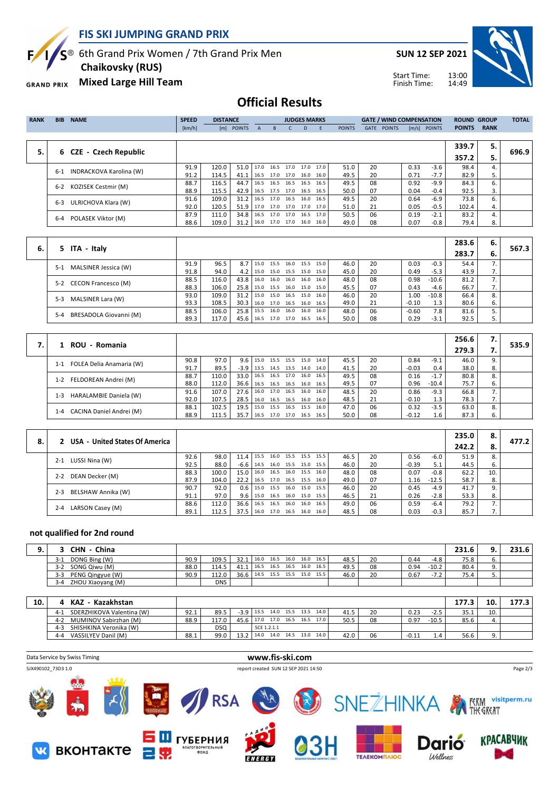

**FIS SKI JUMPING GRAND PRIX**

 $S^{\circledast}$  6th Grand Prix Women / 7th Grand Prix Men

 **Chaikovsky (RUS)**

**Mixed Large Hill Team GRAND PRIX** 

**SUN 12 SEP 2021**



Start Time: Finish Time:

### **Official Results**

| <b>RANK</b> | <b>BIB</b> | <b>NAME</b>             | <b>SPEED</b> | <b>DISTANCE</b> |            |              |                          |      | <b>JUDGES MARKS</b> |           |               |             | <b>GATE / WIND COMPENSATION</b> |       |               | <b>ROUND GROUP</b> |             | <b>TOTAL</b> |
|-------------|------------|-------------------------|--------------|-----------------|------------|--------------|--------------------------|------|---------------------|-----------|---------------|-------------|---------------------------------|-------|---------------|--------------------|-------------|--------------|
|             |            |                         | [km/h]       |                 | [m] POINTS | $\mathsf{A}$ | B.                       |      | D.                  | F         | <b>POINTS</b> | <b>GATE</b> | <b>POINTS</b>                   | [m/s] | <b>POINTS</b> | <b>POINTS</b>      | <b>RANK</b> |              |
|             |            |                         |              |                 |            |              |                          |      |                     |           |               |             |                                 |       |               |                    |             |              |
|             |            |                         |              |                 |            |              |                          |      |                     |           |               |             |                                 |       |               | 339.7              | 5.          |              |
| 5.          |            | 6 CZE - Czech Republic  |              |                 |            |              |                          |      |                     |           |               |             |                                 |       |               | 357.2              | 5.          | 696.9        |
|             | $6 - 1$    | INDRACKOVA Karolina (W) | 91.9         | 120.0           | 51.0       |              | 17.0 16.5                | 17.0 |                     | 17.0 17.0 | 51.0          | 20          |                                 | 0.33  | $-3.6$        | 98.4               | 4.          |              |
|             |            |                         | 91.2         | 114.5           | 41.1       | 16.5         | 17.0 17.0 16.0 16.0      |      |                     |           | 49.5          | 20          |                                 | 0.71  | $-7.7$        | 82.9               | 5.          |              |
|             | $6 - 2$    | KOZISEK Cestmir (M)     | 88.7         | 116.5           | 44.7       |              | 16.5 16.5 16.5           |      | 16.5                | 16.5      | 49.5          | 08          |                                 | 0.92  | $-9.9$        | 84.3               | 6.          |              |
|             |            |                         | 88.9         | 115.5           | 42.9       |              | 16.5 17.5 17.0 16.5 16.5 |      |                     |           | 50.0          | 07          |                                 | 0.04  | $-0.4$        | 92.5               | 3.          |              |
|             | $6 - 3$    | ULRICHOVA Klara (W)     | 91.6         | 109.0           | 31.2       |              | 16.5 17.0 16.5           |      |                     | 16.0 16.5 | 49.5          | 20          |                                 | 0.64  | $-6.9$        | 73.8               | 6.          |              |
|             |            |                         | 92.0         | 120.5           | 51.9       |              | 17.0 17.0 17.0 17.0 17.0 |      |                     |           | 51.0          | 21          |                                 | 0.05  | -0.5          | 102.4              | 4.          |              |
|             |            |                         | 87.9         | 111.0           | 34.8       | 16.5         | 17.0 17.0                |      | 16.5                | 17.0      | 50.5          | 06          |                                 | 0.19  | $-2.1$        | 83.2               | 4.          |              |
|             | 6-4        | POLASEK Viktor (M)      | 88.6         | 109.0           | 31.2       |              | 16.0 17.0 17.0 16.0 16.0 |      |                     |           | 49.0          | 08          |                                 | 0.07  | $-0.8$        | 79.4               | 8.          |              |
|             |            |                         |              |                 |            |              |                          |      |                     |           |               |             |                                 |       |               |                    |             |              |

|    |                                   |      |       |                  |      |      |      |                     |      |      |    |         |         | 283.6 | 6.         |       |
|----|-----------------------------------|------|-------|------------------|------|------|------|---------------------|------|------|----|---------|---------|-------|------------|-------|
| 6. | 5 ITA - Italy                     |      |       |                  |      |      |      |                     |      |      |    |         |         | 283.7 | - 6.       | 567.3 |
|    | MALSINER Jessica (W)<br>$5-1$     | 91.9 | 96.5  | 8.7 <sub>1</sub> | 15.0 | 15.5 | 16.0 | 15.5 15.0           |      | 46.0 | 20 | 0.03    | $-0.3$  | 54.4  |            |       |
|    |                                   | 91.8 | 94.0  | 4.2              | 15.0 |      |      | 15.0 15.5 15.0      | 15.0 | 45.0 | 20 | 0.49    | $-5.3$  | 43.9  | $\prime$ . |       |
|    | 5-2 CECON Francesco (M)           | 88.5 | 116.0 | 43.8             | 16.0 |      |      | 16.0 16.0 16.0      | 16.0 | 48.0 | 08 | 0.98    | $-10.6$ | 81.2  |            |       |
|    |                                   | 88.3 | 106.0 | 25.8             | 15.0 |      |      | 15.5 16.0 15.0 15.0 |      | 45.5 | 07 | 0.43    | -4.6    | 66.7  |            |       |
|    | MALSINER Lara (W)<br>$5-3$        | 93.0 | 109.0 | $31.2$   15.0    |      |      |      | 15.0 16.5 15.0      | 16.0 | 46.0 | 20 | 1.00    | $-10.8$ | 66.4  |            |       |
|    |                                   | 93.3 | 108.5 | 30.3             | 16.0 |      |      | 17.0 16.5 16.0 16.5 |      | 49.0 | 21 | $-0.10$ | 1.3     | 80.6  | ь.         |       |
|    | BRESADOLA Giovanni (M)<br>$5 - 4$ | 88.5 | 106.0 | 25.8             | 15.5 | 16.0 | 16.0 | 16.0                | 16.0 | 48.0 | 06 | $-0.60$ | 7.8     | 81.6  |            |       |
|    |                                   | 89.3 | 117.0 | 45.6             | 16.5 |      |      | 17.0 17.0 16.5 16.5 |      | 50.0 | 08 | 0.29    | $-3.1$  | 92.5  |            |       |

| 1 ROU - Romania                     |      |       |                   |      |      |      |                     |        |      |    |         |         | 256.6 | 7. |       |
|-------------------------------------|------|-------|-------------------|------|------|------|---------------------|--------|------|----|---------|---------|-------|----|-------|
|                                     |      |       |                   |      |      |      |                     |        |      |    |         |         | 279.3 |    | 535.9 |
| FOLEA Delia Anamaria (W)<br>$1 - 1$ | 90.8 | 97.0  | $9.6$   15.0      |      | 15.5 | 15.5 | 15.0                | 14.0 l | 45.5 | 20 | 0.84    | $-9.1$  | 46.0  | 9. |       |
|                                     | 91.7 | 89.5  | $-3.9$   13.5     |      |      |      | 14.5 13.5 14.0      | 14.0   | 41.5 | 20 | $-0.03$ | 0.4     | 38.0  | 8. |       |
| FELDOREAN Andrei (M)<br>$1 - 2$     | 88.7 | 110.0 | $33.0$ 16.5       |      |      |      | 16.5 17.0 16.0      | 16.5   | 49.5 | 08 | 0.16    | $-1.7$  | 80.8  | 8. |       |
|                                     | 88.0 | 112.0 | $36.6$   16.5     |      |      |      | 16.5 16.5 16.0      | 16.5   | 49.5 | 07 | 0.96    | $-10.4$ | 75.7  | 6. |       |
| HARALAMBIE Daniela (W)<br>$1 - 3$   | 91.6 | 107.0 | $27.6$   16.0     |      |      |      | 17.0 16.5 16.0      | 16.0   | 48.5 | 20 | 0.86    | $-9.3$  | 66.8  |    |       |
|                                     | 92.0 | 107.5 | $28.5$ 16.0       |      |      |      | 16.5 16.5 16.0      | 16.0   | 48.5 | 21 | $-0.10$ |         | 78.3  | 7. |       |
| CACINA Daniel Andrei (M)<br>$1 - 4$ | 88.1 | 102.5 | $19.5$   15.0     |      |      |      | 15.5 16.5 15.5      | 16.0   | 47.0 | 06 | 0.32    | $-3.5$  | 63.0  | 8. |       |
|                                     | 88.9 | 111.5 | 35.7 <sup>1</sup> | 16.5 |      |      | 17.0 17.0 16.5 16.5 |        | 50.0 | 08 | $-0.12$ | 1.6     | 87.3  | 6. |       |

|    | 2 USA - United States Of America |      |       |                  |                          |           |                     |                     |      |    |         |         | 235.0 | 8.  | 477.2 |
|----|----------------------------------|------|-------|------------------|--------------------------|-----------|---------------------|---------------------|------|----|---------|---------|-------|-----|-------|
| 8. |                                  |      |       |                  |                          |           |                     |                     |      |    |         |         | 242.2 | -8. |       |
|    | LUSSI Nina (W)<br>$2 - 1$        | 92.6 | 98.0  | 11.4             | 15.5                     |           |                     | 16.0 15.5 15.5 15.5 | 46.5 | 20 | 0.56    | $-6.0$  | 51.9  | 8.  |       |
|    |                                  | 92.5 | 88.0  | $-6.6$ I         | 14.5                     |           | 16.0 15.5 15.0 15.5 |                     | 46.0 | 20 | $-0.39$ | 5.1     | 44.5  | 6.  |       |
|    | 2-2 DEAN Decker (M)              | 88.3 | 100.0 | 15.0             | 16.0                     |           | 16.5 16.0 15.5 16.0 |                     | 48.0 | 08 | 0.07    | $-0.8$  | 62.2  | 10. |       |
|    |                                  | 87.9 | 104.0 | 22.2             | 16.5                     |           | 17.0 16.5 15.5 16.0 |                     | 49.0 | 07 | 1.16    | $-12.5$ | 58.7  | 8.  |       |
|    | BELSHAW Annika (W)<br>$2 - 3$    | 90.7 | 92.0  | 0.6 <sub>1</sub> | 15.0                     |           | 15.5 16.0 15.0 15.5 |                     | 46.0 | 20 | 0.45    | $-4.9$  | 41.7  | 9.  |       |
|    |                                  | 91.1 | 97.0  | 9.61             | 15.0                     |           | 16.5 16.0 15.0 15.5 |                     | 46.5 | 21 | 0.26    | $-2.8$  | 53.3  | 8.  |       |
|    | $2 - 4$                          | 88.6 | 112.0 | 36.6             | 16.5                     | 16.5 16.0 | 16.0                | 16.5                | 49.0 | 06 | 0.59    | $-6.4$  | 79.2  |     |       |
|    | LARSON Casey (M)                 | 89.1 | 112.5 | 37.5             | 16.0 17.0 16.5 16.0 16.0 |           |                     |                     | 48.5 | 08 | 0.03    | $-0.3$  | 85.7  | 7.  |       |

#### **not qualified for 2nd round**

| a | China<br><b>CHN</b>          |      |            |                               |  |  |                          |      |    |      |            | 231.6 |    | 231.6 |
|---|------------------------------|------|------------|-------------------------------|--|--|--------------------------|------|----|------|------------|-------|----|-------|
|   | DONG Bing (W)<br>$3-1$       | 90.9 | 109.5      | 32.1                          |  |  | 16.0 16.5 16.0 16.0 16.5 | 48.5 | 20 | 0.44 | -4.8       | 75.8  | ь. |       |
|   | SONG Qiwu (M)<br>$3 - 2$     | 88.0 | 114.5      | 41.1 16.5 16.5 16.5           |  |  | 16.0 16.5                | 49.5 | 08 | 0.94 | $-10.2$    | 80.4  |    |       |
|   | PENG Qingyue (W)<br>$3 - 3$  | 90.9 | 112.0      | 36.6 14.5 15.5 15.5 15.0 15.5 |  |  |                          | 46.0 | 20 | 0.67 | ר ד<br>- 1 | 75.4  |    |       |
|   | ZHOU Xiaoyang (M)<br>$3 - 4$ |      | <b>DNS</b> |                               |  |  |                          |      |    |      |            |       |    |       |

| 10. |         | Kazakhstan<br><b>KAZ</b>  |      |            |                          |                     |  |  |  |                                 |      | 177.3 | 10      | 177.3   |      |     |  |
|-----|---------|---------------------------|------|------------|--------------------------|---------------------|--|--|--|---------------------------------|------|-------|---------|---------|------|-----|--|
|     | 4-1     | SDERZHIKOVA Valentina (W) | 92.1 | 89.5       |                          |                     |  |  |  | $-3.9$ 13.5 14.0 15.5 13.5 14.0 | 41.5 | 20    | 0.23    | -2.5    | 35.1 | 10. |  |
|     | $4 - 2$ | MUMINOV Sabirzhan (M)     | 88.9 | 117.0      | 45.6 17.0 17.0 16.5 16.5 |                     |  |  |  | 17.0                            | 50.5 | 08    | 0.97    | $-10.5$ | 85.6 |     |  |
|     | $4 - 3$ | SHISHKINA Veronika (W)    |      | <b>DSQ</b> |                          | SCE 1.2.1.1         |  |  |  |                                 |      |       |         |         |      |     |  |
|     | $4 - 4$ | VASSILYEV Danil (M)       | 88.1 | 99.0       | 13.2                     | 14.0 14.0 14.5 13.0 |  |  |  | 14.0                            | 42.0 | 06    | $-0.11$ |         | 56.6 |     |  |